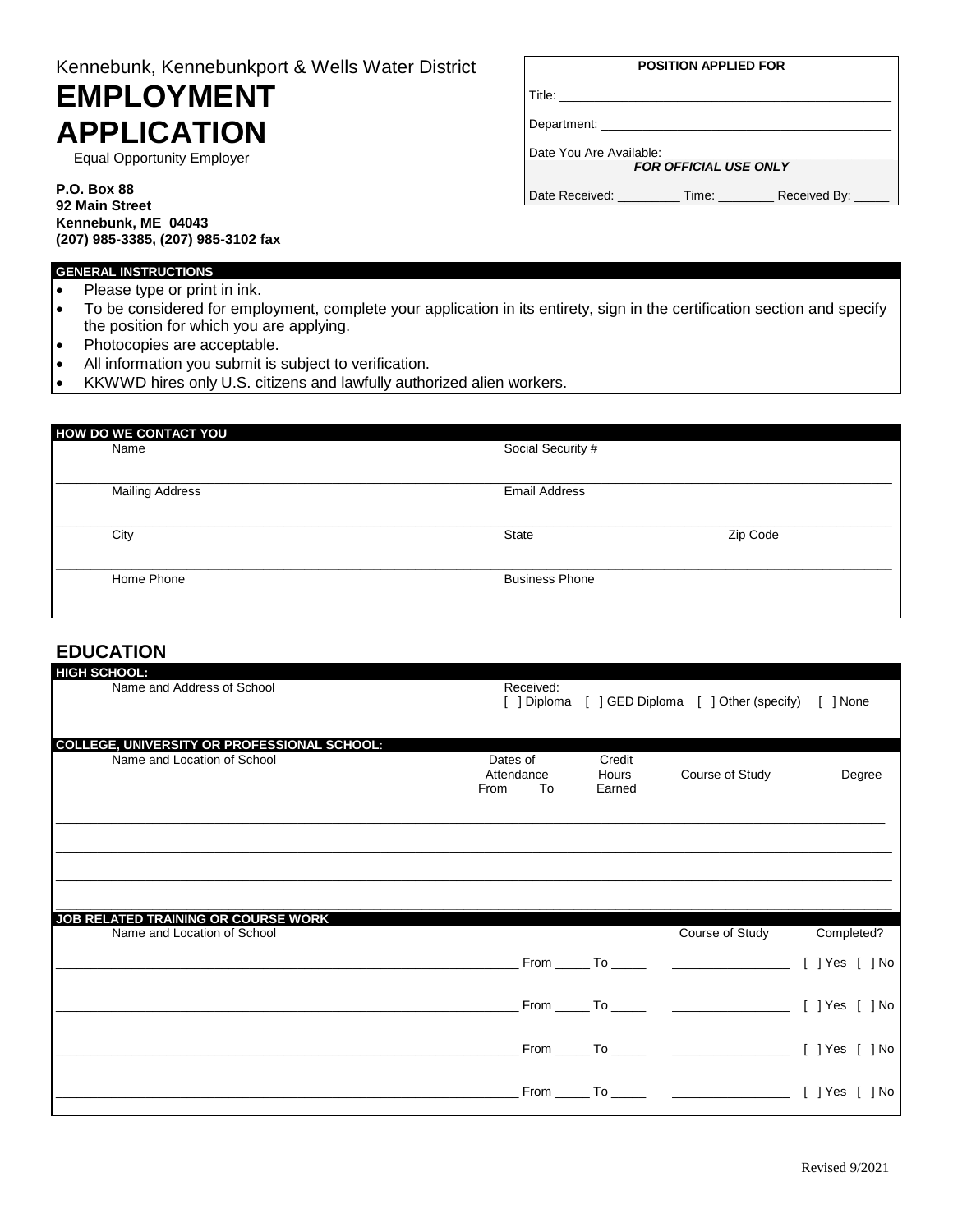# Kennebunk, Kennebunkport & Wells Water District

# **EMPLOYMENT APPLICATION**

Equal Opportunity Employer

#### **P.O. Box 88 92 Main Street Kennebunk, ME 04043 (207) 985-3385, (207) 985-3102 fax**

| <b>POSITION APPLIED FOR</b>                                                                                    |  |              |  |  |
|----------------------------------------------------------------------------------------------------------------|--|--------------|--|--|
| Title: The Think of the Think of the Think of the Think of the Think of the Think of the Think of the Think of |  |              |  |  |
|                                                                                                                |  |              |  |  |
| Date You Are Available:                                                                                        |  |              |  |  |
| <b>FOR OFFICIAL USE ONLY</b>                                                                                   |  |              |  |  |
| Date Received: Time:                                                                                           |  | Received By: |  |  |

#### **GENERAL INSTRUCTIONS**

- Please type or print in ink.
- To be considered for employment, complete your application in its entirety, sign in the certification section and specify the position for which you are applying.
- Photocopies are acceptable.
- All information you submit is subject to verification.
- KKWWD hires only U.S. citizens and lawfully authorized alien workers.

| HOW DO WE CONTACT YOU  |                       |          |  |
|------------------------|-----------------------|----------|--|
| Name                   | Social Security #     |          |  |
| <b>Mailing Address</b> | <b>Email Address</b>  |          |  |
| City                   | State                 | Zip Code |  |
| Home Phone             | <b>Business Phone</b> |          |  |

## **EDUCATION**

| <b>HIGH SCHOOL:</b>                                                |                                      |                           |                                                          |            |
|--------------------------------------------------------------------|--------------------------------------|---------------------------|----------------------------------------------------------|------------|
| Name and Address of School                                         | Received:                            |                           | [ ] Diploma [ ] GED Diploma [ ] Other (specify) [ ] None |            |
| <b>COLLEGE, UNIVERSITY OR PROFESSIONAL SCHOOL:</b>                 |                                      |                           |                                                          |            |
| Name and Location of School                                        | Dates of<br>Attendance<br>To<br>From | Credit<br>Hours<br>Earned | Course of Study                                          | Degree     |
|                                                                    |                                      |                           |                                                          |            |
|                                                                    |                                      |                           |                                                          |            |
| JOB RELATED TRAINING OR COURSE WORK<br>Name and Location of School |                                      |                           | Course of Study                                          | Completed? |
|                                                                    |                                      |                           |                                                          |            |
|                                                                    |                                      |                           |                                                          |            |
|                                                                    |                                      |                           |                                                          |            |
|                                                                    |                                      |                           |                                                          |            |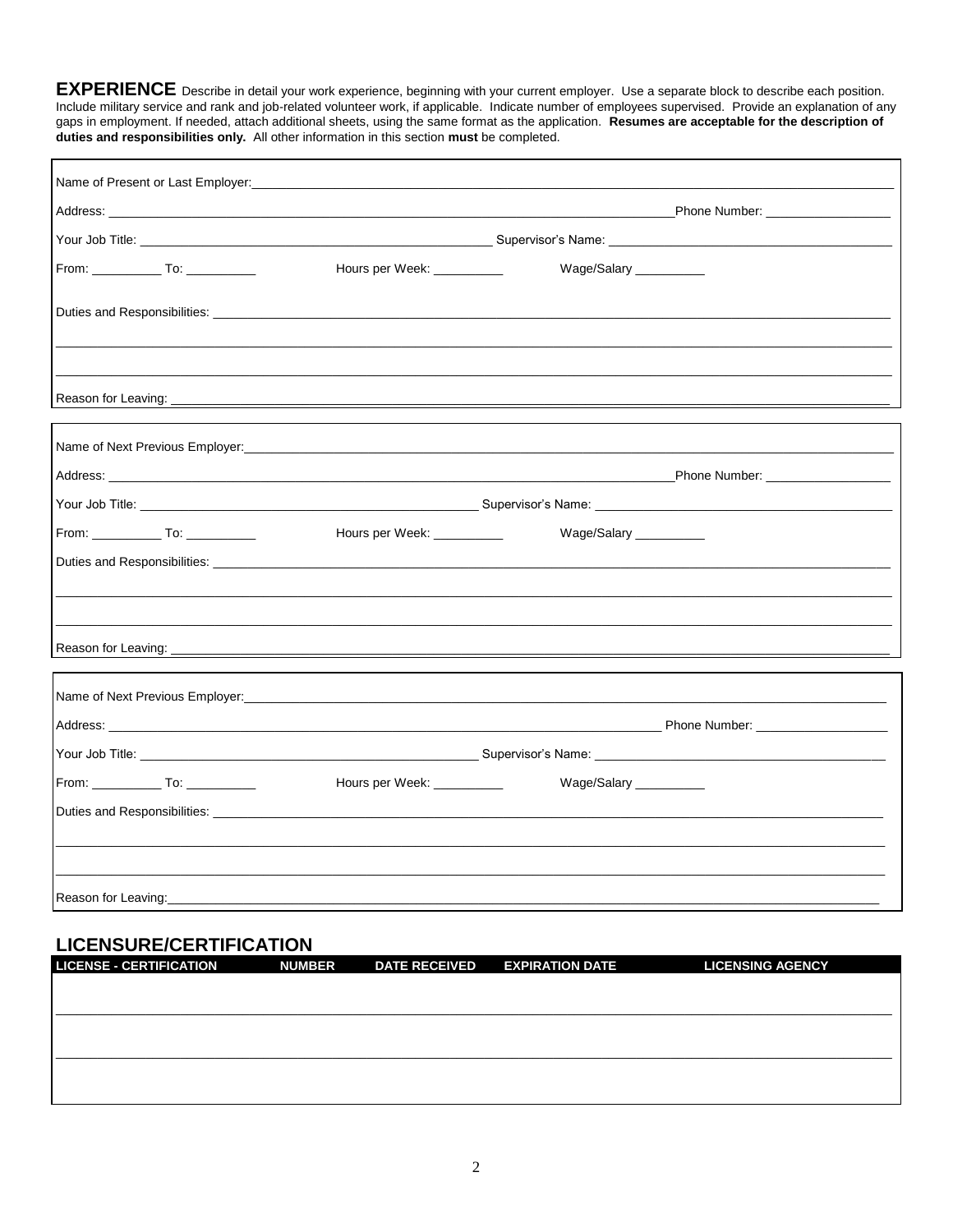**EXPERIENCE** Describe in detail your work experience, beginning with your current employer. Use a separate block to describe each position. Include military service and rank and job-related volunteer work, if applicable. Indicate number of employees supervised. Provide an explanation of any gaps in employment. If needed, attach additional sheets, using the sam duties and responsibilities only. All other information in this section must be completed.

| Address: National Address: National Address: National Address: National Address: National Address: National Address: National Address: National Address: National Address: National Address: National Address: National Addres<br>Hours per Week: ___________<br>Wage/Salary _________ |  |  |
|----------------------------------------------------------------------------------------------------------------------------------------------------------------------------------------------------------------------------------------------------------------------------------------|--|--|
|                                                                                                                                                                                                                                                                                        |  |  |
|                                                                                                                                                                                                                                                                                        |  |  |
|                                                                                                                                                                                                                                                                                        |  |  |
|                                                                                                                                                                                                                                                                                        |  |  |
|                                                                                                                                                                                                                                                                                        |  |  |
|                                                                                                                                                                                                                                                                                        |  |  |
|                                                                                                                                                                                                                                                                                        |  |  |
|                                                                                                                                                                                                                                                                                        |  |  |
| Hours per Week: _____________ Wage/Salary _________                                                                                                                                                                                                                                    |  |  |
|                                                                                                                                                                                                                                                                                        |  |  |
|                                                                                                                                                                                                                                                                                        |  |  |
|                                                                                                                                                                                                                                                                                        |  |  |
|                                                                                                                                                                                                                                                                                        |  |  |
|                                                                                                                                                                                                                                                                                        |  |  |
|                                                                                                                                                                                                                                                                                        |  |  |
| Hours per Week: ___________<br>Wage/Salary __________                                                                                                                                                                                                                                  |  |  |
| Duties and Responsibilities: Learning and Contract and Contract and Contract and Contract and Contract and Contract and Contract and Contract and Contract and Contract and Contract and Contract and Contract and Contract an                                                         |  |  |
|                                                                                                                                                                                                                                                                                        |  |  |
|                                                                                                                                                                                                                                                                                        |  |  |
|                                                                                                                                                                                                                                                                                        |  |  |

## **LICENSURE/CERTIFICATION**

| <b>LICENSE - CERTIFICATION</b> | <b>NUMBER</b> | <b>DATE RECEIVED</b> | <b>EXPIRATION DATE</b> | <b>LICENSING AGENCY</b> |
|--------------------------------|---------------|----------------------|------------------------|-------------------------|
|                                |               |                      |                        |                         |
|                                |               |                      |                        |                         |
|                                |               |                      |                        |                         |
|                                |               |                      |                        |                         |
|                                |               |                      |                        |                         |
|                                |               |                      |                        |                         |
|                                |               |                      |                        |                         |
|                                |               |                      |                        |                         |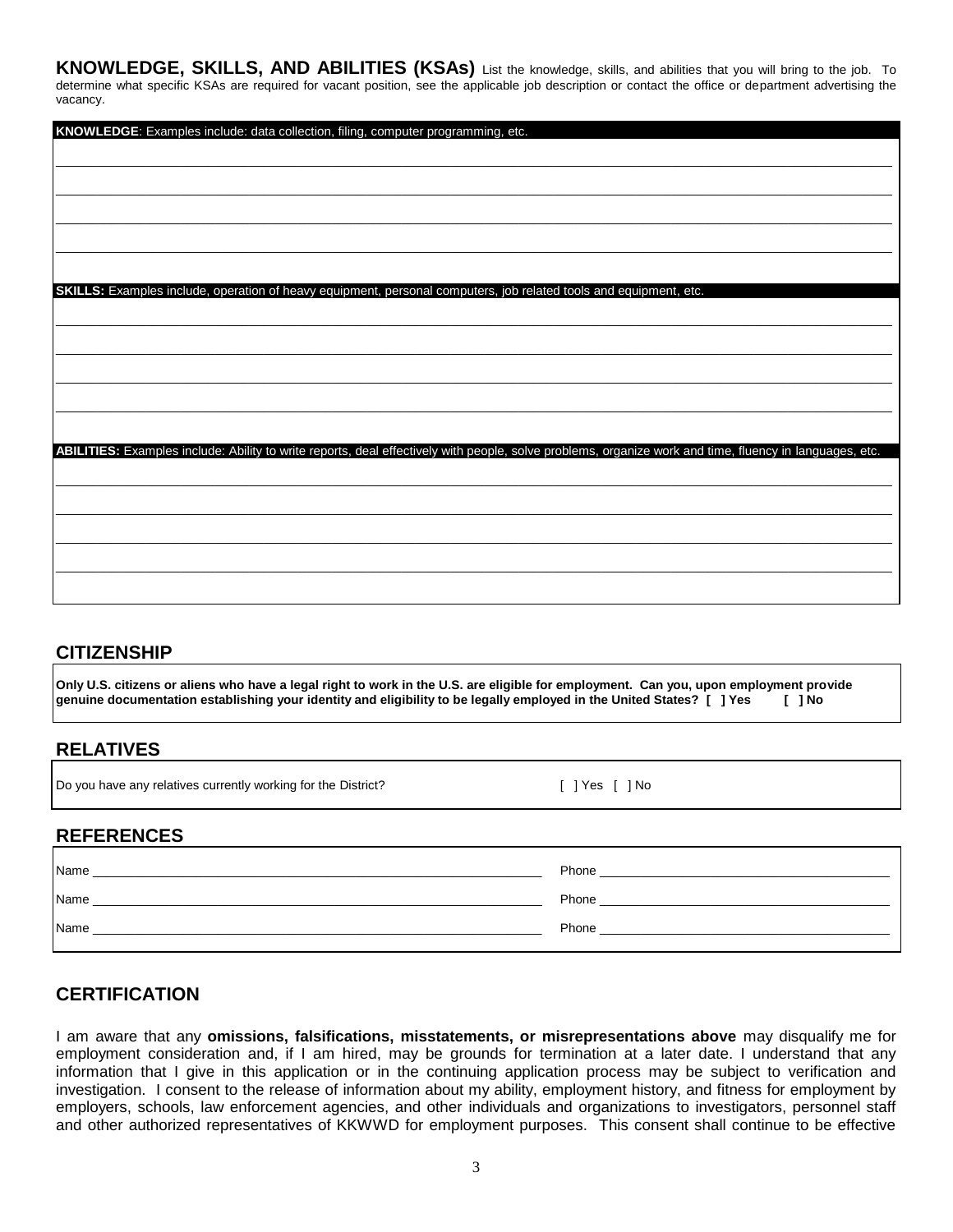**KNOWLEDGE, SKILLS, AND ABILITIES (KSAs)** List the knowledge, skills, and abilities that you will bring to the job. To determine what specific KSAs are required for vacant position, see the applicable job description or contact the office or department advertising the vacancy.

| KNOWLEDGE: Examples include: data collection, filing, computer programming, etc.                                                                        |
|---------------------------------------------------------------------------------------------------------------------------------------------------------|
|                                                                                                                                                         |
|                                                                                                                                                         |
|                                                                                                                                                         |
|                                                                                                                                                         |
|                                                                                                                                                         |
|                                                                                                                                                         |
|                                                                                                                                                         |
|                                                                                                                                                         |
|                                                                                                                                                         |
|                                                                                                                                                         |
| SKILLS: Examples include, operation of heavy equipment, personal computers, job related tools and equipment, etc.                                       |
|                                                                                                                                                         |
|                                                                                                                                                         |
|                                                                                                                                                         |
|                                                                                                                                                         |
|                                                                                                                                                         |
|                                                                                                                                                         |
|                                                                                                                                                         |
|                                                                                                                                                         |
|                                                                                                                                                         |
|                                                                                                                                                         |
|                                                                                                                                                         |
| ABILITIES: Examples include: Ability to write reports, deal effectively with people, solve problems, organize work and time, fluency in languages, etc. |
|                                                                                                                                                         |
|                                                                                                                                                         |
|                                                                                                                                                         |
|                                                                                                                                                         |
|                                                                                                                                                         |
|                                                                                                                                                         |
|                                                                                                                                                         |
|                                                                                                                                                         |
|                                                                                                                                                         |
|                                                                                                                                                         |
|                                                                                                                                                         |

## **CITIZENSHIP**

**Only U.S. citizens or aliens who have a legal right to work in the U.S. are eligible for employment. Can you, upon employment provide genuine documentation establishing your identity and eligibility to be legally employed in the United States? [ ] Yes [ ] No**

## **RELATIVES**

Do you have any relatives currently working for the District? [ ] Yes [ ] No

## **REFERENCES**

| Name | Phone |
|------|-------|
| Name | Phone |
| Name | Phone |

## **CERTIFICATION**

I am aware that any **omissions, falsifications, misstatements, or misrepresentations above** may disqualify me for employment consideration and, if I am hired, may be grounds for termination at a later date. I understand that any information that I give in this application or in the continuing application process may be subject to verification and investigation. I consent to the release of information about my ability, employment history, and fitness for employment by employers, schools, law enforcement agencies, and other individuals and organizations to investigators, personnel staff and other authorized representatives of KKWWD for employment purposes. This consent shall continue to be effective